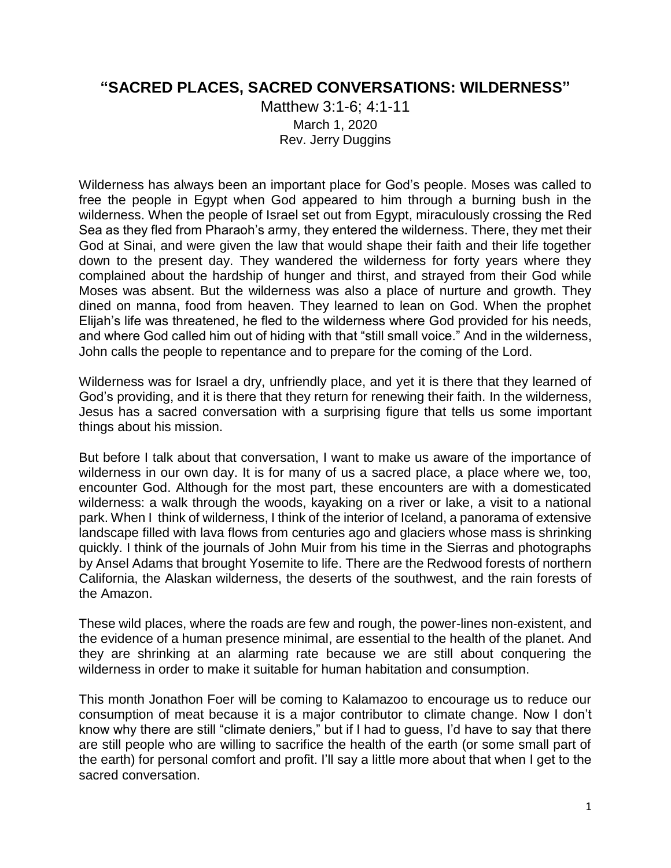## **"SACRED PLACES, SACRED CONVERSATIONS: WILDERNESS"**

Matthew 3:1-6; 4:1-11 March 1, 2020 Rev. Jerry Duggins

Wilderness has always been an important place for God's people. Moses was called to free the people in Egypt when God appeared to him through a burning bush in the wilderness. When the people of Israel set out from Egypt, miraculously crossing the Red Sea as they fled from Pharaoh's army, they entered the wilderness. There, they met their God at Sinai, and were given the law that would shape their faith and their life together down to the present day. They wandered the wilderness for forty years where they complained about the hardship of hunger and thirst, and strayed from their God while Moses was absent. But the wilderness was also a place of nurture and growth. They dined on manna, food from heaven. They learned to lean on God. When the prophet Elijah's life was threatened, he fled to the wilderness where God provided for his needs, and where God called him out of hiding with that "still small voice." And in the wilderness, John calls the people to repentance and to prepare for the coming of the Lord.

Wilderness was for Israel a dry, unfriendly place, and yet it is there that they learned of God's providing, and it is there that they return for renewing their faith. In the wilderness, Jesus has a sacred conversation with a surprising figure that tells us some important things about his mission.

But before I talk about that conversation, I want to make us aware of the importance of wilderness in our own day. It is for many of us a sacred place, a place where we, too, encounter God. Although for the most part, these encounters are with a domesticated wilderness: a walk through the woods, kayaking on a river or lake, a visit to a national park. When I think of wilderness, I think of the interior of Iceland, a panorama of extensive landscape filled with lava flows from centuries ago and glaciers whose mass is shrinking quickly. I think of the journals of John Muir from his time in the Sierras and photographs by Ansel Adams that brought Yosemite to life. There are the Redwood forests of northern California, the Alaskan wilderness, the deserts of the southwest, and the rain forests of the Amazon.

These wild places, where the roads are few and rough, the power-lines non-existent, and the evidence of a human presence minimal, are essential to the health of the planet. And they are shrinking at an alarming rate because we are still about conquering the wilderness in order to make it suitable for human habitation and consumption.

This month Jonathon Foer will be coming to Kalamazoo to encourage us to reduce our consumption of meat because it is a major contributor to climate change. Now I don't know why there are still "climate deniers," but if I had to guess, I'd have to say that there are still people who are willing to sacrifice the health of the earth (or some small part of the earth) for personal comfort and profit. I'll say a little more about that when I get to the sacred conversation.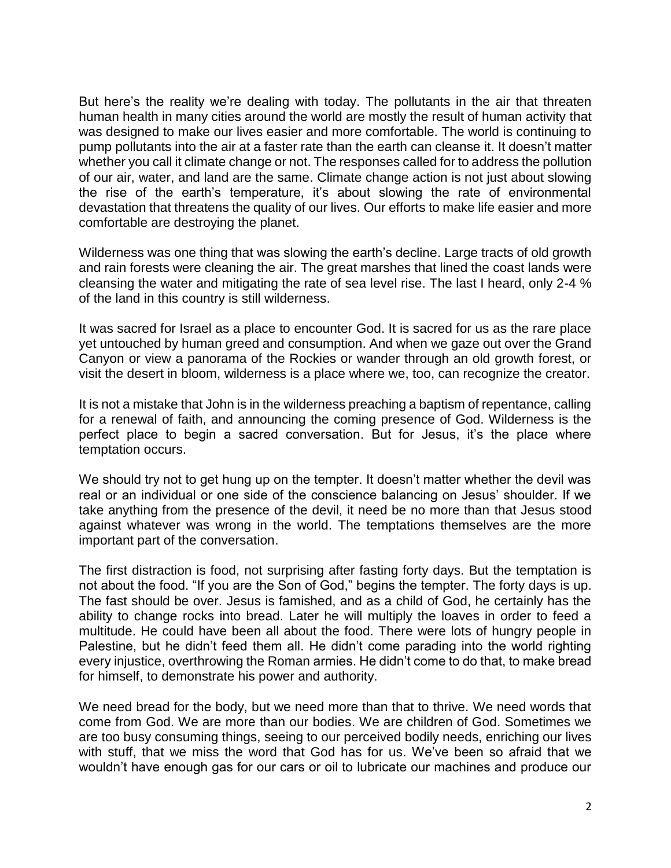But here's the reality we're dealing with today. The pollutants in the air that threaten human health in many cities around the world are mostly the result of human activity that was designed to make our lives easier and more comfortable. The world is continuing to pump pollutants into the air at a faster rate than the earth can cleanse it. It doesn't matter whether you call it climate change or not. The responses called for to address the pollution of our air, water, and land are the same. Climate change action is not just about slowing the rise of the earth's temperature, it's about slowing the rate of environmental devastation that threatens the quality of our lives. Our efforts to make life easier and more comfortable are destroying the planet.

Wilderness was one thing that was slowing the earth's decline. Large tracts of old growth and rain forests were cleaning the air. The great marshes that lined the coast lands were cleansing the water and mitigating the rate of sea level rise. The last I heard, only 2-4 % of the land in this country is still wilderness.

It was sacred for Israel as a place to encounter God. It is sacred for us as the rare place yet untouched by human greed and consumption. And when we gaze out over the Grand Canyon or view a panorama of the Rockies or wander through an old growth forest, or visit the desert in bloom, wilderness is a place where we, too, can recognize the creator.

It is not a mistake that John is in the wilderness preaching a baptism of repentance, calling for a renewal of faith, and announcing the coming presence of God. Wilderness is the perfect place to begin a sacred conversation. But for Jesus, it's the place where temptation occurs.

We should try not to get hung up on the tempter. It doesn't matter whether the devil was real or an individual or one side of the conscience balancing on Jesus' shoulder. If we take anything from the presence of the devil, it need be no more than that Jesus stood against whatever was wrong in the world. The temptations themselves are the more important part of the conversation.

The first distraction is food, not surprising after fasting forty days. But the temptation is not about the food. "If you are the Son of God," begins the tempter. The forty days is up. The fast should be over. Jesus is famished, and as a child of God, he certainly has the ability to change rocks into bread. Later he will multiply the loaves in order to feed a multitude. He could have been all about the food. There were lots of hungry people in Palestine, but he didn't feed them all. He didn't come parading into the world righting every injustice, overthrowing the Roman armies. He didn't come to do that, to make bread for himself, to demonstrate his power and authority.

We need bread for the body, but we need more than that to thrive. We need words that come from God. We are more than our bodies. We are children of God. Sometimes we are too busy consuming things, seeing to our perceived bodily needs, enriching our lives with stuff, that we miss the word that God has for us. We've been so afraid that we wouldn't have enough gas for our cars or oil to lubricate our machines and produce our